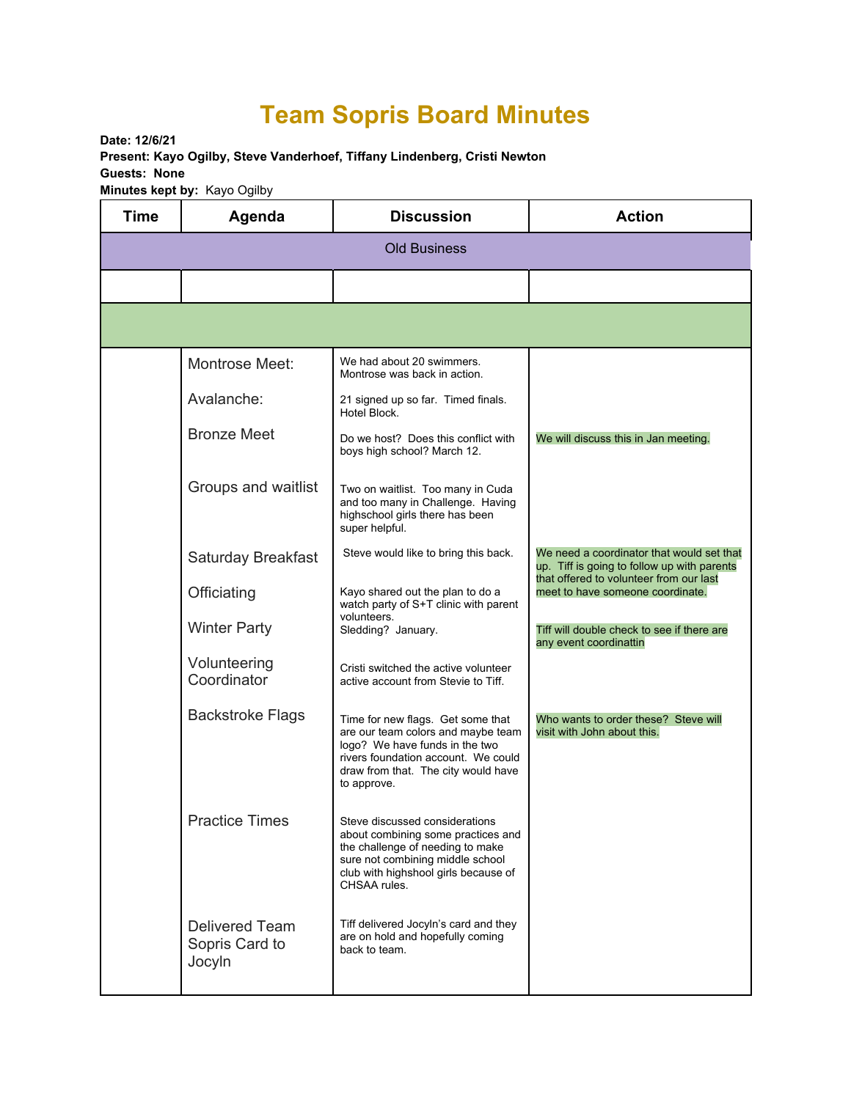## **Team Sopris Board Minutes**

**Date: 12/6/21 Present: Kayo Ogilby, Steve Vanderhoef, Tiffany Lindenberg, Cristi Newton Guests: None Minutes kept by:** Kayo Ogilby

| <b>Time</b>         | Agenda                                            | <b>Discussion</b>                                                                                                                                                                                      | <b>Action</b>                                                                            |  |  |
|---------------------|---------------------------------------------------|--------------------------------------------------------------------------------------------------------------------------------------------------------------------------------------------------------|------------------------------------------------------------------------------------------|--|--|
| <b>Old Business</b> |                                                   |                                                                                                                                                                                                        |                                                                                          |  |  |
|                     |                                                   |                                                                                                                                                                                                        |                                                                                          |  |  |
|                     |                                                   |                                                                                                                                                                                                        |                                                                                          |  |  |
|                     | Montrose Meet:                                    | We had about 20 swimmers.<br>Montrose was back in action.                                                                                                                                              |                                                                                          |  |  |
|                     | Avalanche:                                        | 21 signed up so far. Timed finals.<br>Hotel Block.                                                                                                                                                     |                                                                                          |  |  |
|                     | <b>Bronze Meet</b>                                | Do we host? Does this conflict with<br>boys high school? March 12.                                                                                                                                     | We will discuss this in Jan meeting.                                                     |  |  |
|                     | Groups and waitlist                               | Two on waitlist. Too many in Cuda<br>and too many in Challenge. Having<br>highschool girls there has been<br>super helpful.                                                                            |                                                                                          |  |  |
|                     | <b>Saturday Breakfast</b>                         | Steve would like to bring this back.                                                                                                                                                                   | We need a coordinator that would set that<br>up. Tiff is going to follow up with parents |  |  |
|                     | Officiating                                       | Kayo shared out the plan to do a<br>watch party of S+T clinic with parent                                                                                                                              | that offered to volunteer from our last<br>meet to have someone coordinate.              |  |  |
|                     | <b>Winter Party</b>                               | volunteers.<br>Sledding? January.                                                                                                                                                                      | Tiff will double check to see if there are<br>any event coordinattin                     |  |  |
|                     | Volunteering<br>Coordinator                       | Cristi switched the active volunteer<br>active account from Stevie to Tiff.                                                                                                                            |                                                                                          |  |  |
|                     | <b>Backstroke Flags</b>                           | Time for new flags. Get some that<br>are our team colors and maybe team<br>logo? We have funds in the two<br>rivers foundation account. We could<br>draw from that. The city would have<br>to approve. | Who wants to order these? Steve will<br>visit with John about this.                      |  |  |
|                     | <b>Practice Times</b>                             | Steve discussed considerations<br>about combining some practices and<br>the challenge of needing to make<br>sure not combining middle school<br>club with highshool girls because of<br>CHSAA rules.   |                                                                                          |  |  |
|                     | <b>Delivered Team</b><br>Sopris Card to<br>Jocyln | Tiff delivered Jocyln's card and they<br>are on hold and hopefully coming<br>back to team.                                                                                                             |                                                                                          |  |  |